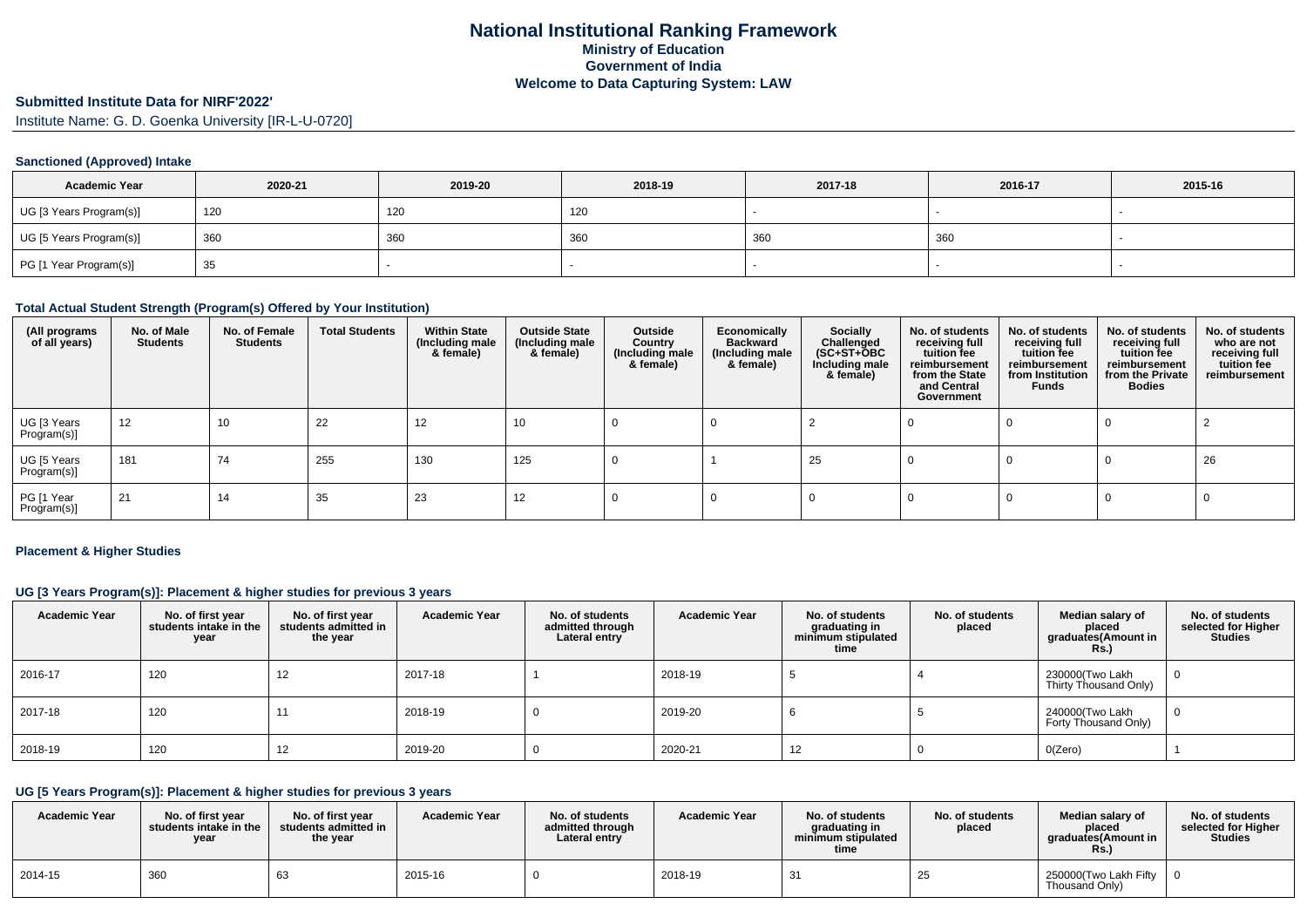# **Submitted Institute Data for NIRF'2022'**

Institute Name: G. D. Goenka University [IR-L-U-0720]

### **Sanctioned (Approved) Intake**

| <b>Academic Year</b>    | 2020-21 | 2019-20 | 2018-19 | 2017-18 | 2016-17 | 2015-16 |
|-------------------------|---------|---------|---------|---------|---------|---------|
| UG [3 Years Program(s)] | 120     | 120     | 120     |         |         |         |
| UG [5 Years Program(s)] | 360     | 360     | 360     | 360     | 360     |         |
| PG [1 Year Program(s)]  | 35      |         |         |         |         |         |

#### **Total Actual Student Strength (Program(s) Offered by Your Institution)**

| (All programs<br>of all years) | No. of Male<br><b>Students</b> | No. of Female<br>Students | <b>Total Students</b> | <b>Within State</b><br>(Including male<br>& female) | <b>Outside State</b><br>(Including male<br>& female) | Outside<br>Country<br>(Including male<br>& female) | Economically<br><b>Backward</b><br>(Including male<br>& female) | <b>Socially</b><br>Challenged<br>$(SC+ST+\tilde{O}BC)$<br>Including male<br>& female) | No. of students<br>receiving full<br>tuition fee<br>reimbursement<br>from the State<br>and Central<br>Government | No. of students<br>receiving full<br>tuition fee<br>reimbursement<br>from Institution<br>Funds | No. of students<br>receiving full<br>tuition fee<br>reimbursement<br>from the Private<br><b>Bodies</b> | No. of students<br>who are not<br>receiving full<br>tuition fee<br>reimbursement |
|--------------------------------|--------------------------------|---------------------------|-----------------------|-----------------------------------------------------|------------------------------------------------------|----------------------------------------------------|-----------------------------------------------------------------|---------------------------------------------------------------------------------------|------------------------------------------------------------------------------------------------------------------|------------------------------------------------------------------------------------------------|--------------------------------------------------------------------------------------------------------|----------------------------------------------------------------------------------|
| UG [3 Years<br>Program(s)]     | 12                             | 10                        | 22                    | 12                                                  | 10                                                   |                                                    |                                                                 |                                                                                       |                                                                                                                  |                                                                                                |                                                                                                        |                                                                                  |
| UG [5 Years<br>Program(s)]     | 181                            | 74                        | 255                   | 130                                                 | 125                                                  |                                                    |                                                                 | 25                                                                                    |                                                                                                                  |                                                                                                |                                                                                                        | 26                                                                               |
| PG [1 Year<br>Program(s)]      | 21                             | 14                        | 35                    | 23                                                  | 12                                                   |                                                    |                                                                 |                                                                                       |                                                                                                                  |                                                                                                |                                                                                                        |                                                                                  |

#### **Placement & Higher Studies**

#### **UG [3 Years Program(s)]: Placement & higher studies for previous 3 years**

| <b>Academic Year</b> | No. of first year<br>students intake in the<br>year | No. of first vear<br>students admitted in<br>the year | <b>Academic Year</b> | No. of students<br>admitted through<br>Lateral entry | <b>Academic Year</b> | No. of students<br>graduating in<br>minimum stipulated<br>time | No. of students<br>placed | Median salary of<br>placed<br>graduates(Amount in<br>Rs.) | No. of students<br>selected for Higher<br><b>Studies</b> |
|----------------------|-----------------------------------------------------|-------------------------------------------------------|----------------------|------------------------------------------------------|----------------------|----------------------------------------------------------------|---------------------------|-----------------------------------------------------------|----------------------------------------------------------|
| 2016-17              | 120                                                 | 12                                                    | 2017-18              |                                                      | 2018-19              |                                                                |                           | 230000(Two Lakh<br>Thirty Thousand Only)                  |                                                          |
| 2017-18              | 120                                                 |                                                       | 2018-19              |                                                      | 2019-20              |                                                                |                           | 240000(Two Lakh<br>Forty Thousand Only)                   |                                                          |
| 2018-19              | 120                                                 | 12                                                    | 2019-20              |                                                      | 2020-21              | 12                                                             |                           | O(Zero)                                                   |                                                          |

## **UG [5 Years Program(s)]: Placement & higher studies for previous 3 years**

| <b>Academic Year</b> | No. of first vear<br>students intake in the<br>year | No. of first year<br>students admitted in<br>the year | <b>Academic Year</b> | No. of students<br>admitted through<br>Lateral entry | <b>Academic Year</b> | No. of students<br>araduating in<br>minimum stipulated<br>time | No. of students<br>placed | Median salary of<br>placed<br>araduates(Amount in<br>Rs. | No. of students<br>selected for Higher<br><b>Studies</b> |
|----------------------|-----------------------------------------------------|-------------------------------------------------------|----------------------|------------------------------------------------------|----------------------|----------------------------------------------------------------|---------------------------|----------------------------------------------------------|----------------------------------------------------------|
| 2014-15              | 360                                                 |                                                       | 2015-16              |                                                      | 2018-19              | -31                                                            | ن ے                       | 250000 Two Lakh Fifty<br>Thousand Only)                  |                                                          |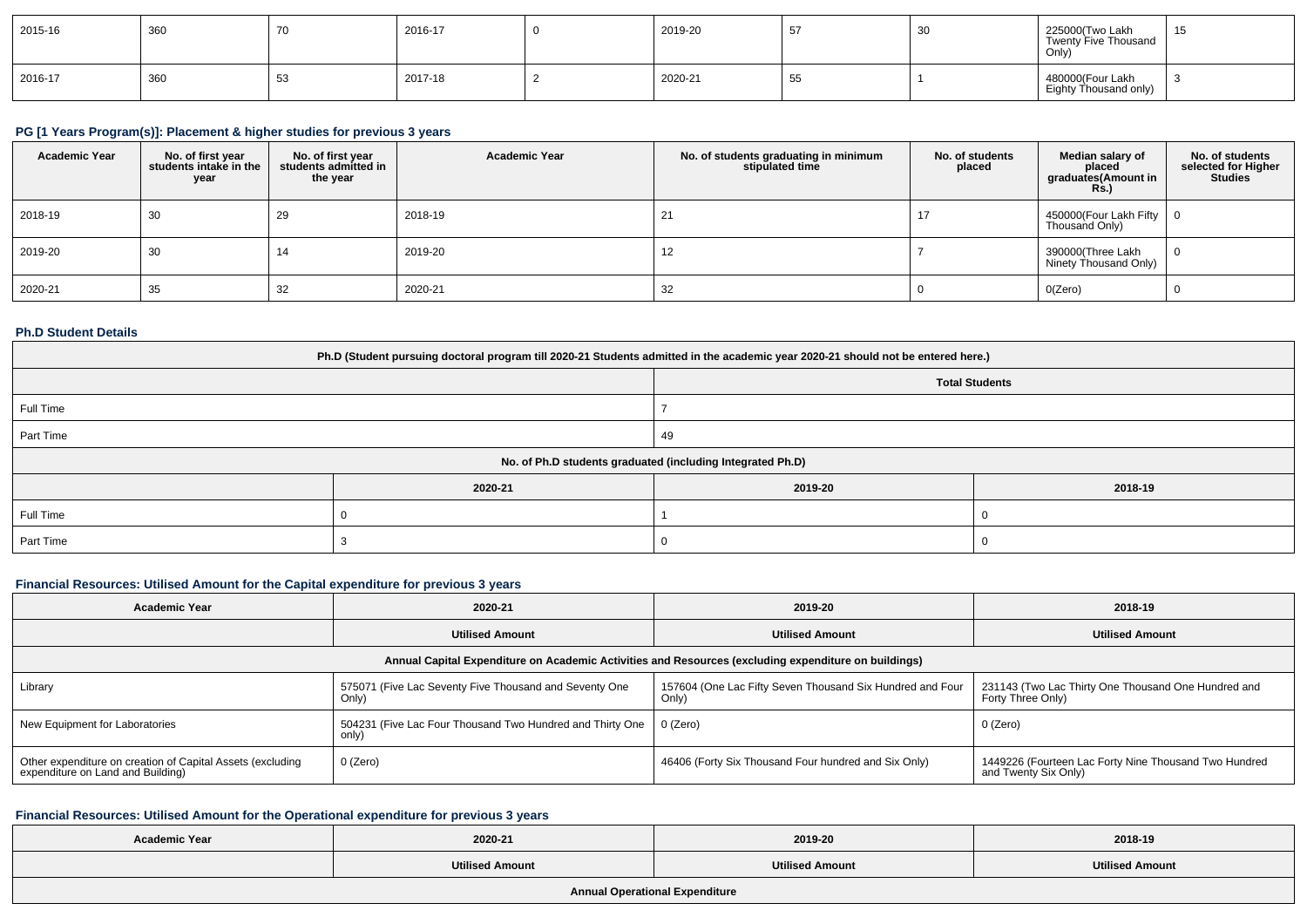| 2015-16 | 360 | -70 | 2016-17 | 2019-20 | 51   | َپ | 225000(Two Lakh<br>Twenty Five Thousand<br>Only) | 4E<br>ັບ |
|---------|-----|-----|---------|---------|------|----|--------------------------------------------------|----------|
| 2016-17 | 360 | 53  | 2017-18 | 2020-21 | - 55 |    | 480000(Four Lakh<br>Eighty Thousand only)        |          |

## **PG [1 Years Program(s)]: Placement & higher studies for previous 3 years**

| <b>Academic Year</b> | No. of first year<br>students intake in the<br>year | No. of first year<br>students admitted in<br>the year | <b>Academic Year</b> | No. of students graduating in minimum<br>stipulated time | No. of students<br>placed | Median salary of<br>placed<br>graduates(Amount in<br>Rs.) | No. of students<br>selected for Higher<br><b>Studies</b> |
|----------------------|-----------------------------------------------------|-------------------------------------------------------|----------------------|----------------------------------------------------------|---------------------------|-----------------------------------------------------------|----------------------------------------------------------|
| 2018-19              | 30                                                  | 29                                                    | 2018-19              |                                                          |                           | 450000(Four Lakh Fifty   0<br>Thousand Only)              |                                                          |
| 2019-20              | 30                                                  | 14                                                    | 2019-20              | 12                                                       |                           | 390000(Three Lakh<br>Ninety Thousand Only)                | . 0                                                      |
| 2020-21              | 35                                                  | 32                                                    | 2020-21              | 32                                                       |                           | O(Zero)                                                   |                                                          |

### **Ph.D Student Details**

| Ph.D (Student pursuing doctoral program till 2020-21 Students admitted in the academic year 2020-21 should not be entered here.) |         |                       |         |  |  |  |
|----------------------------------------------------------------------------------------------------------------------------------|---------|-----------------------|---------|--|--|--|
|                                                                                                                                  |         | <b>Total Students</b> |         |  |  |  |
| Full Time                                                                                                                        |         |                       |         |  |  |  |
| Part Time                                                                                                                        |         | 49                    |         |  |  |  |
| No. of Ph.D students graduated (including Integrated Ph.D)                                                                       |         |                       |         |  |  |  |
|                                                                                                                                  | 2020-21 | 2019-20               | 2018-19 |  |  |  |
| Full Time                                                                                                                        |         |                       |         |  |  |  |
| Part Time                                                                                                                        |         |                       |         |  |  |  |

### **Financial Resources: Utilised Amount for the Capital expenditure for previous 3 years**

| 2020-21<br><b>Academic Year</b>                                                                      |                                                                    | 2019-20                                                            | 2018-19                                                                       |  |  |  |  |  |
|------------------------------------------------------------------------------------------------------|--------------------------------------------------------------------|--------------------------------------------------------------------|-------------------------------------------------------------------------------|--|--|--|--|--|
|                                                                                                      | <b>Utilised Amount</b>                                             | <b>Utilised Amount</b>                                             | <b>Utilised Amount</b>                                                        |  |  |  |  |  |
| Annual Capital Expenditure on Academic Activities and Resources (excluding expenditure on buildings) |                                                                    |                                                                    |                                                                               |  |  |  |  |  |
| Library                                                                                              | 575071 (Five Lac Seventy Five Thousand and Seventy One<br>Only)    | 157604 (One Lac Fifty Seven Thousand Six Hundred and Four<br>Only) | 231143 (Two Lac Thirty One Thousand One Hundred and<br>Forty Three Only)      |  |  |  |  |  |
| New Equipment for Laboratories                                                                       | 504231 (Five Lac Four Thousand Two Hundred and Thirty One<br>only) | 0 (Zero)                                                           | 0 (Zero)                                                                      |  |  |  |  |  |
| Other expenditure on creation of Capital Assets (excluding<br>expenditure on Land and Building)      | 0 (Zero)                                                           | 46406 (Forty Six Thousand Four hundred and Six Only)               | 1449226 (Fourteen Lac Forty Nine Thousand Two Hundred<br>and Twenty Six Only) |  |  |  |  |  |

#### **Financial Resources: Utilised Amount for the Operational expenditure for previous 3 years**

| <b>Academic Year</b> | 2020-21                | 2019-20                | 2018-19                |
|----------------------|------------------------|------------------------|------------------------|
|                      | <b>Utilised Amount</b> | <b>Utilised Amount</b> | <b>Utilised Amount</b> |
|                      |                        |                        |                        |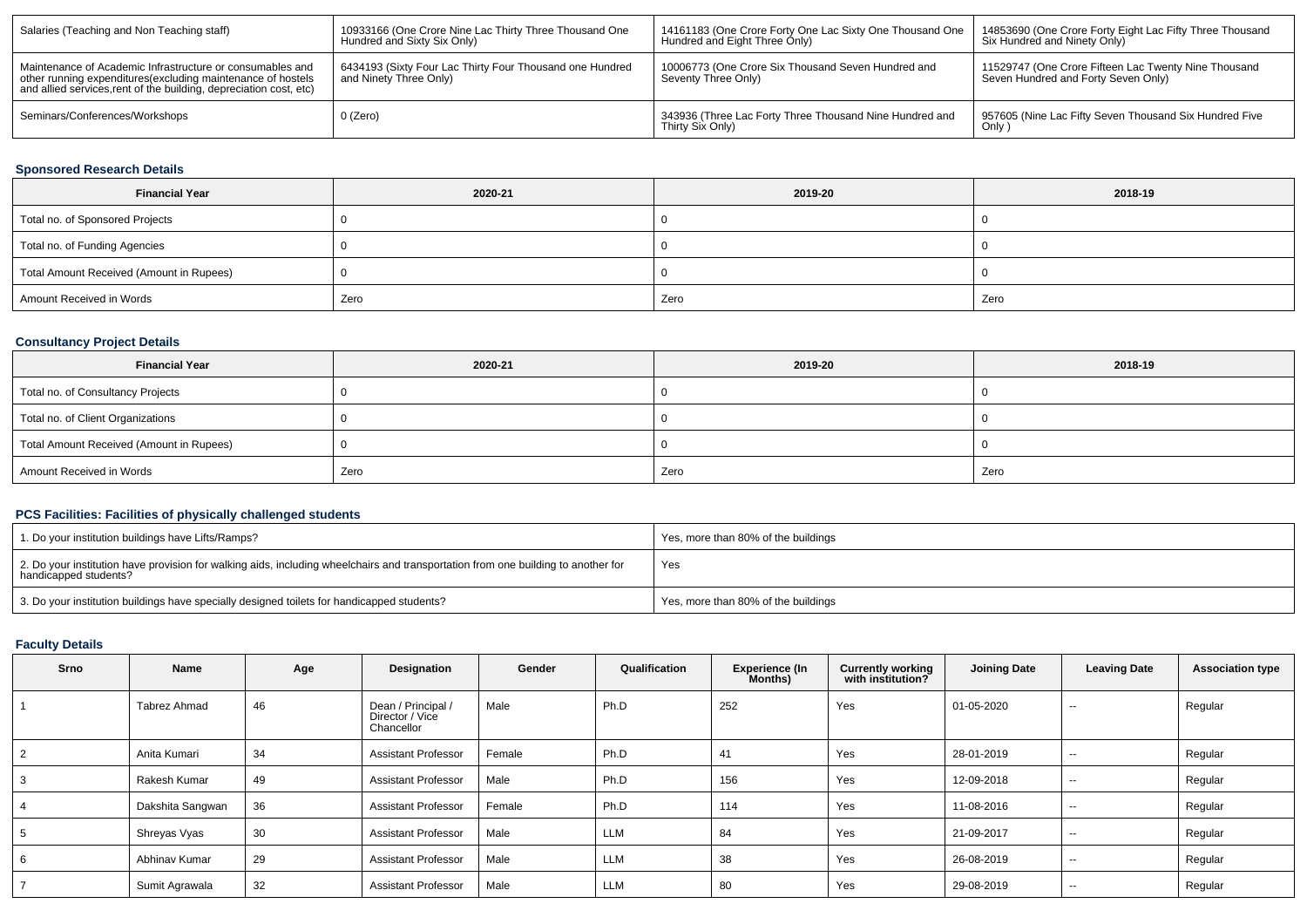| Salaries (Teaching and Non Teaching staff)                                                                                                                                                      | 10933166 (One Crore Nine Lac Thirty Three Thousand One<br>Hundred and Sixty Six Only) | 14161183 (One Crore Forty One Lac Sixty One Thousand One<br>Hundred and Eight Three Only) | 14853690 (One Crore Forty Eight Lac Fifty Three Thousand<br>Six Hundred and Ninety Only)    |
|-------------------------------------------------------------------------------------------------------------------------------------------------------------------------------------------------|---------------------------------------------------------------------------------------|-------------------------------------------------------------------------------------------|---------------------------------------------------------------------------------------------|
| Maintenance of Academic Infrastructure or consumables and<br>other running expenditures (excluding maintenance of hostels<br>and allied services, rent of the building, depreciation cost, etc) | 6434193 (Sixty Four Lac Thirty Four Thousand one Hundred<br>and Ninety Three Only)    | 10006773 (One Crore Six Thousand Seven Hundred and<br>Seventy Three Only)                 | 11529747 (One Crore Fifteen Lac Twenty Nine Thousand<br>Seven Hundred and Forty Seven Only) |
| Seminars/Conferences/Workshops                                                                                                                                                                  | 0 (Zero)                                                                              | 343936 (Three Lac Forty Three Thousand Nine Hundred and<br>Thirty Six Only)               | 957605 (Nine Lac Fifty Seven Thousand Six Hundred Five<br>Only                              |

## **Sponsored Research Details**

| <b>Financial Year</b>                    | 2020-21 | 2019-20 | 2018-19 |
|------------------------------------------|---------|---------|---------|
| Total no. of Sponsored Projects          |         |         |         |
| Total no. of Funding Agencies            |         |         |         |
| Total Amount Received (Amount in Rupees) |         |         |         |
| Amount Received in Words                 | Zero    | Zero    | Zero    |

# **Consultancy Project Details**

| <b>Financial Year</b>                    | 2020-21 | 2019-20 | 2018-19 |
|------------------------------------------|---------|---------|---------|
| Total no. of Consultancy Projects        |         |         |         |
| Total no. of Client Organizations        |         |         |         |
| Total Amount Received (Amount in Rupees) |         |         |         |
| Amount Received in Words                 | Zero    | Zero    | Zero    |

## **PCS Facilities: Facilities of physically challenged students**

| 1. Do your institution buildings have Lifts/Ramps?                                                                                                         | Yes, more than 80% of the buildings |
|------------------------------------------------------------------------------------------------------------------------------------------------------------|-------------------------------------|
| 2. Do your institution have provision for walking aids, including wheelchairs and transportation from one building to another for<br>handicapped students? | Yes                                 |
| 3. Do your institution buildings have specially designed toilets for handicapped students?                                                                 | Yes, more than 80% of the buildings |

### **Faculty Details**

| <b>Srno</b> | Name             | Age | Designation                                         | Gender | Qualification | <b>Experience (In</b><br><b>Months</b> ) | <b>Currently working</b><br>with institution? | <b>Joining Date</b> | <b>Leaving Date</b>      | <b>Association type</b> |
|-------------|------------------|-----|-----------------------------------------------------|--------|---------------|------------------------------------------|-----------------------------------------------|---------------------|--------------------------|-------------------------|
|             | Tabrez Ahmad     | 46  | Dean / Principal /<br>Director / Vice<br>Chancellor | Male   | Ph.D          | 252                                      | Yes                                           | 01-05-2020          | $\overline{\phantom{a}}$ | Regular                 |
|             | Anita Kumari     | 34  | <b>Assistant Professor</b>                          | Female | Ph.D          | 41                                       | Yes                                           | 28-01-2019          | $\sim$ $\sim$            | Regular                 |
|             | Rakesh Kumar     | 49  | <b>Assistant Professor</b>                          | Male   | Ph.D          | 156                                      | Yes                                           | 12-09-2018          | $\sim$ $\sim$            | Regular                 |
|             | Dakshita Sangwan | 36  | <b>Assistant Professor</b>                          | Female | Ph.D          | 114                                      | Yes                                           | 11-08-2016          | $\overline{\phantom{a}}$ | Regular                 |
|             | Shreyas Vyas     | 30  | <b>Assistant Professor</b>                          | Male   | <b>LLM</b>    | 84                                       | Yes                                           | 21-09-2017          | $\overline{\phantom{a}}$ | Regular                 |
|             | Abhinav Kumar    | 29  | <b>Assistant Professor</b>                          | Male   | <b>LLM</b>    | 38                                       | Yes                                           | 26-08-2019          | $\overline{\phantom{a}}$ | Regular                 |
|             | Sumit Agrawala   | 32  | <b>Assistant Professor</b>                          | Male   | <b>LLM</b>    | 80                                       | Yes                                           | 29-08-2019          | $\overline{\phantom{a}}$ | Regular                 |